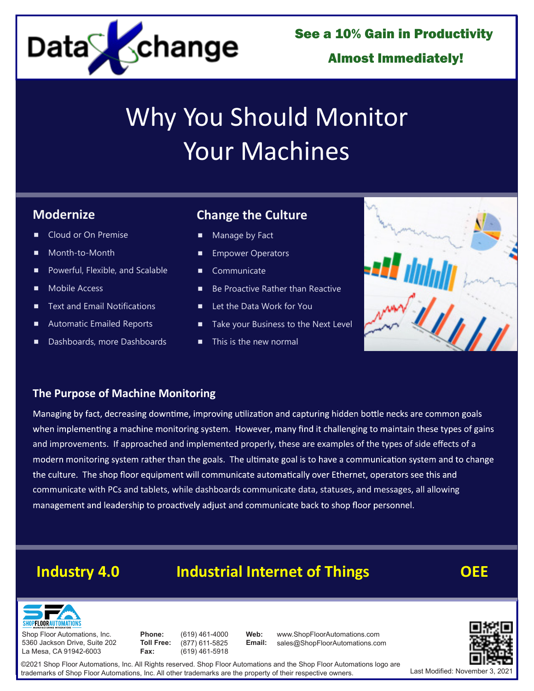

See a 10% Gain in Productivity

# Almost Immediately!

# Why You Should Monitor Your Machines

# **Modernize**

- Cloud or On Premise
- Month-to-Month
- **Powerful, Flexible, and Scalable**
- **Mobile Access**
- Text and Email Notifications
- Automatic Emailed Reports
- Dashboards, more Dashboards

# **Change the Culture**

- Manage by Fact
- Empower Operators
- **Communicate**
- Be Proactive Rather than Reactive
- Let the Data Work for You
- Take your Business to the Next Level
- This is the new normal



### **The Purpose of Machine Monitoring**

Managing by fact, decreasing downtime, improving utilization and capturing hidden bottle necks are common goals when implementing a machine monitoring system. However, many find it challenging to maintain these types of gains and improvements. If approached and implemented properly, these are examples of the types of side effects of a modern monitoring system rather than the goals. The ultimate goal is to have a communication system and to change the culture. The shop floor equipment will communicate automatically over Ethernet, operators see this and communicate with PCs and tablets, while dashboards communicate data, statuses, and messages, all allowing management and leadership to proactively adjust and communicate back to shop floor personnel.

# **Industry 4.0 Industrial Internet of Things OEE**

**Web:**



Shop Floor Automations, Inc. 5360 Jackson Drive, Suite 202 La Mesa, CA 91942-6003

**Phone: Toll Free: Fax:**

(619) 461-4000 (877) 611-5825 (619) 461-5918

www.ShopFloorAutomations.com<br>sales@ShopFloorAutomations.com **Email:** www.ShopFloorAutomations.com



©2021 Shop Floor Automations, Inc. All Rights reserved. Shop Floor Automations and the Shop Floor Automations logo are trademarks of Shop Floor Automations, Inc. All other trademarks are the property of their respective owners.

Last Modified: November 3.